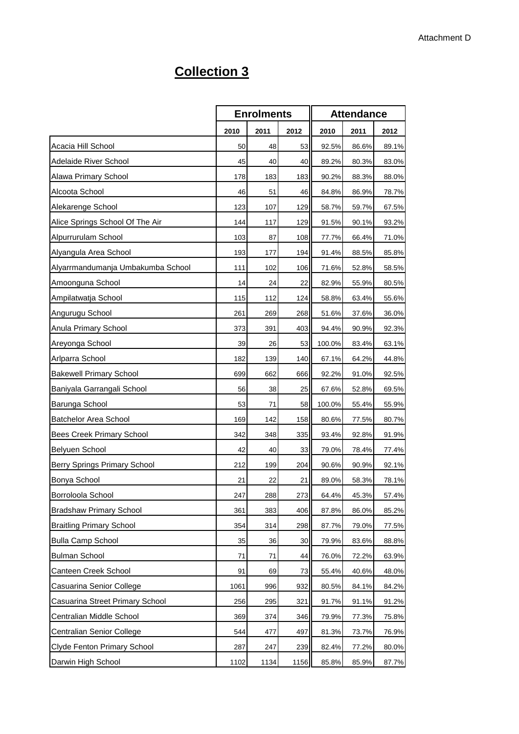## **Collection 3**

|                                    |      | <b>Enrolments</b> |      |        | <b>Attendance</b> |       |
|------------------------------------|------|-------------------|------|--------|-------------------|-------|
|                                    | 2010 | 2011              | 2012 | 2010   | 2011              | 2012  |
| Acacia Hill School                 | 50   | 48                | 53   | 92.5%  | 86.6%             | 89.1% |
| Adelaide River School              | 45   | 40                | 40   | 89.2%  | 80.3%             | 83.0% |
| Alawa Primary School               | 178  | 183               | 183  | 90.2%  | 88.3%             | 88.0% |
| Alcoota School                     | 46   | 51                | 46   | 84.8%  | 86.9%             | 78.7% |
| Alekarenge School                  | 123  | 107               | 129  | 58.7%  | 59.7%             | 67.5% |
| Alice Springs School Of The Air    | 144  | 117               | 129  | 91.5%  | 90.1%             | 93.2% |
| Alpurrurulam School                | 103  | 87                | 108  | 77.7%  | 66.4%             | 71.0% |
| Alyangula Area School              | 193  | 177               | 194  | 91.4%  | 88.5%             | 85.8% |
| Alyarrmandumanja Umbakumba School  | 111  | 102               | 106  | 71.6%  | 52.8%             | 58.5% |
| Amoonguna School                   | 14   | 24                | 22   | 82.9%  | 55.9%             | 80.5% |
| Ampilatwatja School                | 115  | 112               | 124  | 58.8%  | 63.4%             | 55.6% |
| Angurugu School                    | 261  | 269               | 268  | 51.6%  | 37.6%             | 36.0% |
| Anula Primary School               | 373  | 391               | 403  | 94.4%  | 90.9%             | 92.3% |
| Areyonga School                    | 39   | 26                | 53   | 100.0% | 83.4%             | 63.1% |
| Arlparra School                    | 182  | 139               | 140  | 67.1%  | 64.2%             | 44.8% |
| <b>Bakewell Primary School</b>     | 699  | 662               | 666  | 92.2%  | 91.0%             | 92.5% |
| Baniyala Garrangali School         | 56   | 38                | 25   | 67.6%  | 52.8%             | 69.5% |
| Barunga School                     | 53   | 71                | 58   | 100.0% | 55.4%             | 55.9% |
| <b>Batchelor Area School</b>       | 169  | 142               | 158  | 80.6%  | 77.5%             | 80.7% |
| Bees Creek Primary School          | 342  | 348               | 335  | 93.4%  | 92.8%             | 91.9% |
| Belyuen School                     | 42   | 40                | 33   | 79.0%  | 78.4%             | 77.4% |
| Berry Springs Primary School       | 212  | 199               | 204  | 90.6%  | 90.9%             | 92.1% |
| Bonya School                       | 21   | 22                | 21   | 89.0%  | 58.3%             | 78.1% |
| Borroloola School                  | 247  | 288               | 273  | 64.4%  | 45.3%             | 57.4% |
| <b>Bradshaw Primary School</b>     | 361  | 383               | 406  | 87.8%  | 86.0%             | 85.2% |
| <b>Braitling Primary School</b>    | 354  | 314               | 298  | 87.7%  | 79.0%             | 77.5% |
| <b>Bulla Camp School</b>           | 35   | 36                | 30   | 79.9%  | 83.6%             | 88.8% |
| <b>Bulman School</b>               | 71   | 71                | 44   | 76.0%  | 72.2%             | 63.9% |
| Canteen Creek School               | 91   | 69                | 73   | 55.4%  | 40.6%             | 48.0% |
| Casuarina Senior College           | 1061 | 996               | 932  | 80.5%  | 84.1%             | 84.2% |
| Casuarina Street Primary School    | 256  | 295               | 321  | 91.7%  | 91.1%             | 91.2% |
| Centralian Middle School           | 369  | 374               | 346  | 79.9%  | 77.3%             | 75.8% |
| Centralian Senior College          | 544  | 477               | 497  | 81.3%  | 73.7%             | 76.9% |
| <b>Clyde Fenton Primary School</b> | 287  | 247               | 239  | 82.4%  | 77.2%             | 80.0% |
| Darwin High School                 | 1102 | 1134              | 1156 | 85.8%  | 85.9%             | 87.7% |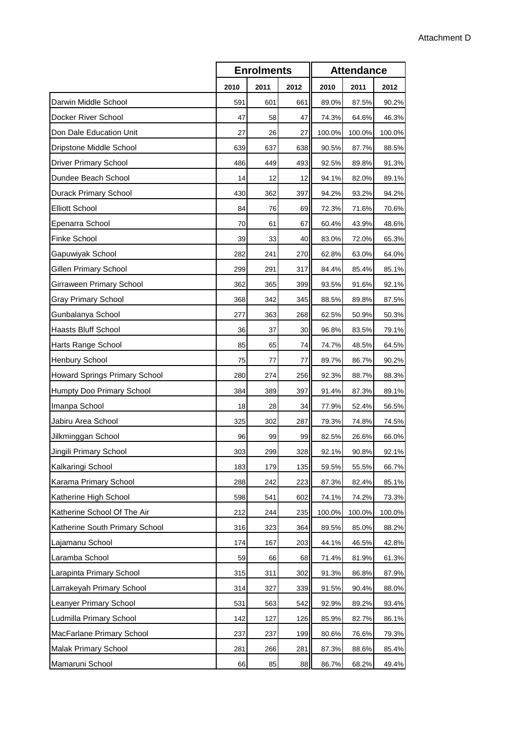|                                |      | <b>Enrolments</b> |      |        | <b>Attendance</b> |        |  |  |
|--------------------------------|------|-------------------|------|--------|-------------------|--------|--|--|
|                                | 2010 | 2011              | 2012 | 2010   | 2011              | 2012   |  |  |
| Darwin Middle School           | 591  | 601               | 661  | 89.0%  | 87.5%             | 90.2%  |  |  |
| Docker River School            | 47   | 58                | 47   | 74.3%  | 64.6%             | 46.3%  |  |  |
| Don Dale Education Unit        | 27   | 26                | 27   | 100.0% | 100.0%            | 100.0% |  |  |
| Dripstone Middle School        | 639  | 637               | 638  | 90.5%  | 87.7%             | 88.5%  |  |  |
| <b>Driver Primary School</b>   | 486  | 449               | 493  | 92.5%  | 89.8%             | 91.3%  |  |  |
| Dundee Beach School            | 14   | 12                | 12   | 94.1%  | 82.0%             | 89.1%  |  |  |
| Durack Primary School          | 430  | 362               | 397  | 94.2%  | 93.2%             | 94.2%  |  |  |
| <b>Elliott School</b>          | 84   | 76                | 69   | 72.3%  | 71.6%             | 70.6%  |  |  |
| Epenarra School                | 70   | 61                | 67   | 60.4%  | 43.9%             | 48.6%  |  |  |
| <b>Finke School</b>            | 39   | 33                | 40   | 83.0%  | 72.0%             | 65.3%  |  |  |
| Gapuwiyak School               | 282  | 241               | 270  | 62.8%  | 63.0%             | 64.0%  |  |  |
| Gillen Primary School          | 299  | 291               | 317  | 84.4%  | 85.4%             | 85.1%  |  |  |
| Girraween Primary School       | 362  | 365               | 399  | 93.5%  | 91.6%             | 92.1%  |  |  |
| <b>Gray Primary School</b>     | 368  | 342               | 345  | 88.5%  | 89.8%             | 87.5%  |  |  |
| Gunbalanya School              | 277  | 363               | 268  | 62.5%  | 50.9%             | 50.3%  |  |  |
| <b>Haasts Bluff School</b>     | 36   | 37                | 30   | 96.8%  | 83.5%             | 79.1%  |  |  |
| Harts Range School             | 85   | 65                | 74   | 74.7%  | 48.5%             | 64.5%  |  |  |
| Henbury School                 | 75   | 77                | 77   | 89.7%  | 86.7%             | 90.2%  |  |  |
| Howard Springs Primary School  | 280  | 274               | 256  | 92.3%  | 88.7%             | 88.3%  |  |  |
| Humpty Doo Primary School      | 384  | 389               | 397  | 91.4%  | 87.3%             | 89.1%  |  |  |
| Imanpa School                  | 18   | 28                | 34   | 77.9%  | 52.4%             | 56.5%  |  |  |
| Jabiru Area School             | 325  | 302               | 287  | 79.3%  | 74.8%             | 74.5%  |  |  |
| Jilkminggan School             | 96   | 99                | 99   | 82.5%  | 26.6%             | 66.0%  |  |  |
| Jingili Primary School         | 303  | 299               | 328  | 92.1%  | 90.8%             | 92.1%  |  |  |
| Kalkaringi School              | 183  | 179               | 135  | 59.5%  | 55.5%             | 66.7%  |  |  |
| Karama Primary School          | 288  | 242               | 223  | 87.3%  | 82.4%             | 85.1%  |  |  |
| Katherine High School          | 598  | 541               | 602  | 74.1%  | 74.2%             | 73.3%  |  |  |
| Katherine School Of The Air    | 212  | 244               | 235  | 100.0% | 100.0%            | 100.0% |  |  |
| Katherine South Primary School | 316  | 323               | 364  | 89.5%  | 85.0%             | 88.2%  |  |  |
| Lajamanu School                | 174  | 167               | 203  | 44.1%  | 46.5%             | 42.8%  |  |  |
| Laramba School                 | 59   | 66                | 68   | 71.4%  | 81.9%             | 61.3%  |  |  |
| Larapinta Primary School       | 315  | 311               | 302  | 91.3%  | 86.8%             | 87.9%  |  |  |
| Larrakeyah Primary School      | 314  | 327               | 339  | 91.5%  | 90.4%             | 88.0%  |  |  |
| Leanyer Primary School         | 531  | 563               | 542  | 92.9%  | 89.2%             | 93.4%  |  |  |
| Ludmilla Primary School        | 142  | 127               | 126  | 85.9%  | 82.7%             | 86.1%  |  |  |
| MacFarlane Primary School      | 237  | 237               | 199  | 80.6%  | 76.6%             | 79.3%  |  |  |
| Malak Primary School           | 281  | 266               | 281  | 87.3%  | 88.6%             | 85.4%  |  |  |
| Mamaruni School                | 66   | 85                | 88   | 86.7%  | 68.2%             | 49.4%  |  |  |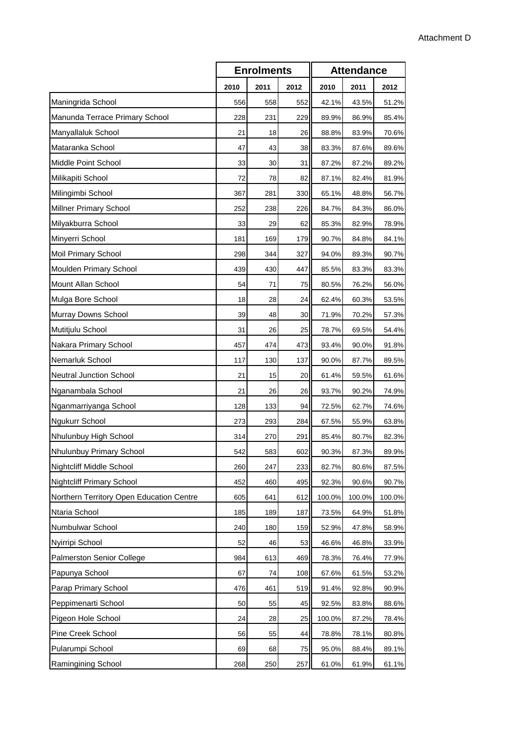|                                          | <b>Enrolments</b> |      |      | <b>Attendance</b> |        |        |
|------------------------------------------|-------------------|------|------|-------------------|--------|--------|
|                                          | 2010              | 2011 | 2012 | 2010              | 2011   | 2012   |
| Maningrida School                        | 556               | 558  | 552  | 42.1%             | 43.5%  | 51.2%  |
| Manunda Terrace Primary School           | 228               | 231  | 229  | 89.9%             | 86.9%  | 85.4%  |
| Manyallaluk School                       | 21                | 18   | 26   | 88.8%             | 83.9%  | 70.6%  |
| Mataranka School                         | 47                | 43   | 38   | 83.3%             | 87.6%  | 89.6%  |
| Middle Point School                      | 33                | 30   | 31   | 87.2%             | 87.2%  | 89.2%  |
| Milikapiti School                        | 72                | 78   | 82   | 87.1%             | 82.4%  | 81.9%  |
| Milingimbi School                        | 367               | 281  | 330  | 65.1%             | 48.8%  | 56.7%  |
| <b>Millner Primary School</b>            | 252               | 238  | 226  | 84.7%             | 84.3%  | 86.0%  |
| Milyakburra School                       | 33                | 29   | 62   | 85.3%             | 82.9%  | 78.9%  |
| Minyerri School                          | 181               | 169  | 179  | 90.7%             | 84.8%  | 84.1%  |
| Moil Primary School                      | 298               | 344  | 327  | 94.0%             | 89.3%  | 90.7%  |
| Moulden Primary School                   | 439               | 430  | 447  | 85.5%             | 83.3%  | 83.3%  |
| Mount Allan School                       | 54                | 71   | 75   | 80.5%             | 76.2%  | 56.0%  |
| Mulga Bore School                        | 18                | 28   | 24   | 62.4%             | 60.3%  | 53.5%  |
| Murray Downs School                      | 39                | 48   | 30   | 71.9%             | 70.2%  | 57.3%  |
| Mutitjulu School                         | 31                | 26   | 25   | 78.7%             | 69.5%  | 54.4%  |
| Nakara Primary School                    | 457               | 474  | 473  | 93.4%             | 90.0%  | 91.8%  |
| Nemarluk School                          | 117               | 130  | 137  | 90.0%             | 87.7%  | 89.5%  |
| <b>Neutral Junction School</b>           | 21                | 15   | 20   | 61.4%             | 59.5%  | 61.6%  |
| Nganambala School                        | 21                | 26   | 26   | 93.7%             | 90.2%  | 74.9%  |
| Nganmarriyanga School                    | 128               | 133  | 94   | 72.5%             | 62.7%  | 74.6%  |
| Ngukurr School                           | 273               | 293  | 284  | 67.5%             | 55.9%  | 63.8%  |
| Nhulunbuy High School                    | 314               | 270  | 291  | 85.4%             | 80.7%  | 82.3%  |
| Nhulunbuy Primary School                 | 542               | 583  | 602  | 90.3%             | 87.3%  | 89.9%  |
| Nightcliff Middle School                 | 260               | 247  | 233  | 82.7%             | 80.6%  | 87.5%  |
| <b>Nightcliff Primary School</b>         | 452               | 460  | 495  | 92.3%             | 90.6%  | 90.7%  |
| Northern Territory Open Education Centre | 605               | 641  | 612  | 100.0%            | 100.0% | 100.0% |
| Ntaria School                            | 185               | 189  | 187  | 73.5%             | 64.9%  | 51.8%  |
| Numbulwar School                         | 240               | 180  | 159  | 52.9%             | 47.8%  | 58.9%  |
| Nyirripi School                          | 52                | 46   | 53   | 46.6%             | 46.8%  | 33.9%  |
| Palmerston Senior College                | 984               | 613  | 469  | 78.3%             | 76.4%  | 77.9%  |
| Papunya School                           | 67                | 74   | 108  | 67.6%             | 61.5%  | 53.2%  |
| Parap Primary School                     | 476               | 461  | 519  | 91.4%             | 92.8%  | 90.9%  |
| Peppimenarti School                      | 50                | 55   | 45   | 92.5%             | 83.8%  | 88.6%  |
| Pigeon Hole School                       | 24                | 28   | 25   | 100.0%            | 87.2%  | 78.4%  |
| Pine Creek School                        | 56                | 55   | 44   | 78.8%             | 78.1%  | 80.8%  |
| Pularumpi School                         | 69                | 68   | 75   | 95.0%             | 88.4%  | 89.1%  |
| Ramingining School                       | 268               | 250  | 257  | 61.0%             | 61.9%  | 61.1%  |